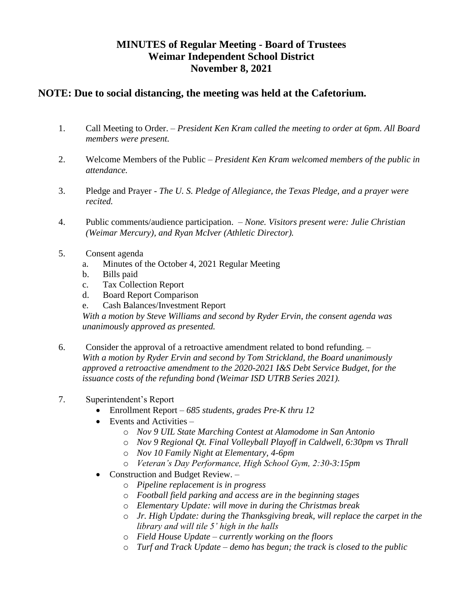## **MINUTES of Regular Meeting - Board of Trustees Weimar Independent School District November 8, 2021**

## **NOTE: Due to social distancing, the meeting was held at the Cafetorium.**

- 1. Call Meeting to Order. *President Ken Kram called the meeting to order at 6pm. All Board members were present.*
- 2. Welcome Members of the Public *President Ken Kram welcomed members of the public in attendance.*
- 3. Pledge and Prayer *The U. S. Pledge of Allegiance, the Texas Pledge, and a prayer were recited.*
- 4. Public comments/audience participation. *None. Visitors present were: Julie Christian (Weimar Mercury), and Ryan McIver (Athletic Director).*
- 5. Consent agenda
	- a. Minutes of the October 4, 2021 Regular Meeting
	- b. Bills paid
	- c. Tax Collection Report
	- d. Board Report Comparison
	- e. Cash Balances/Investment Report

*With a motion by Steve Williams and second by Ryder Ervin, the consent agenda was unanimously approved as presented.* 

- 6. Consider the approval of a retroactive amendment related to bond refunding. *With a motion by Ryder Ervin and second by Tom Strickland, the Board unanimously approved a retroactive amendment to the 2020-2021 I&S Debt Service Budget, for the issuance costs of the refunding bond (Weimar ISD UTRB Series 2021).*
- 7. Superintendent's Report
	- Enrollment Report *685 students, grades Pre-K thru 12*
	- Events and Activities *–*
		- o *Nov 9 UIL State Marching Contest at Alamodome in San Antonio*
		- o *Nov 9 Regional Qt. Final Volleyball Playoff in Caldwell, 6:30pm vs Thrall*
		- o *Nov 10 Family Night at Elementary, 4-6pm*
		- o *Veteran's Day Performance, High School Gym, 2:30-3:15pm*
	- Construction and Budget Review.
		- o *Pipeline replacement is in progress*
		- o *Football field parking and access are in the beginning stages*
		- o *Elementary Update: will move in during the Christmas break*
		- o *Jr. High Update: during the Thanksgiving break, will replace the carpet in the library and will tile 5' high in the halls*
		- o *Field House Update – currently working on the floors*
		- o *Turf and Track Update – demo has begun; the track is closed to the public*